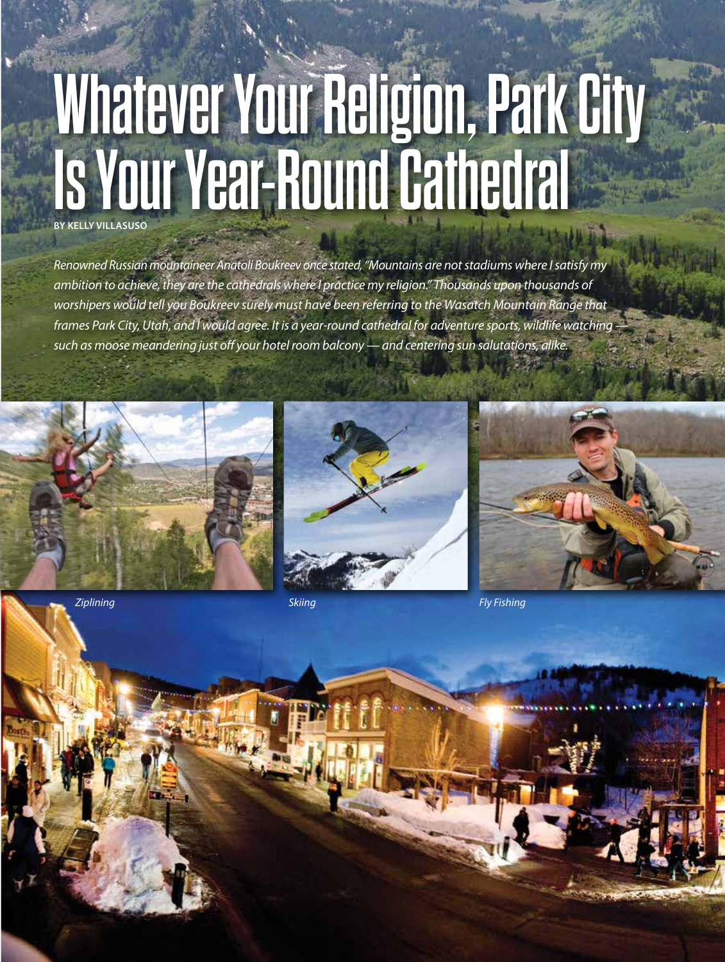# **Whatever Your Religion, Park City Is Your Year-Round Cathedral**

*Renowned Russian mountaineer Anatoli Boukreev once stated, "Mountains are not stadiums where I satisfy my ambition to achieve, they are the cathedrals where I practice my religion." Thousands upon thousands of worshipers would tell you Boukreev surely must have been referring to the Wasatch Mountain Range that frames Park City, Utah, and I would agree. It is a year-round cathedral for adventure sports, wildlife watching such as moose meandering just off your hotel room balcony — and centering sun salutations, alike.*







*Ziplining Skiing Fly Fishing*

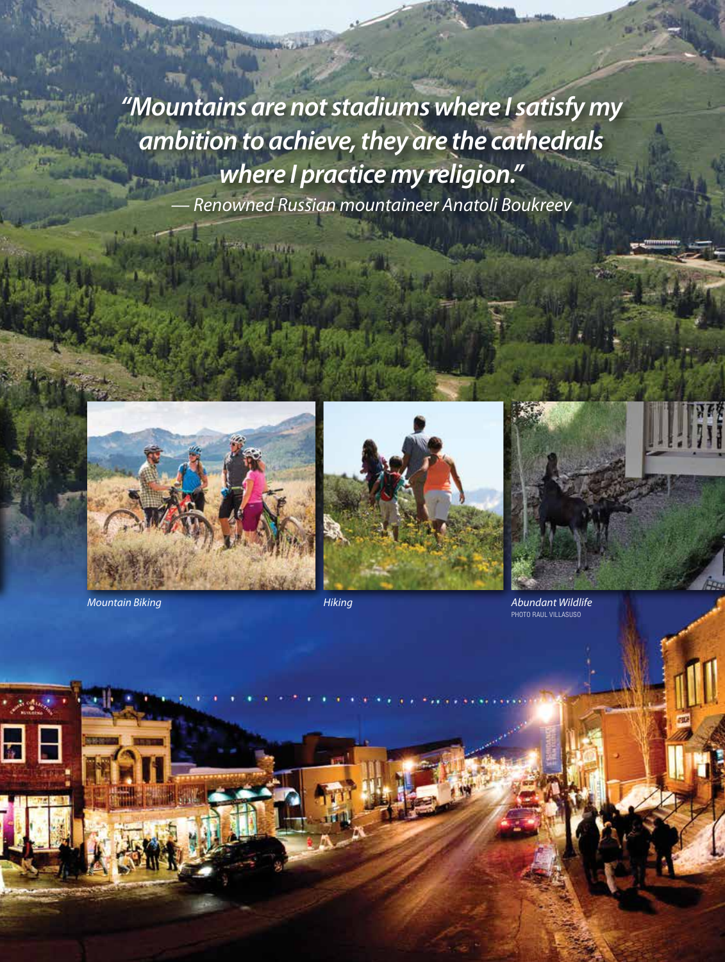*"Mountains are not stadiums where I satisfy my ambition to achieve, they are the cathedrals where I practice my religion." — Renowned Russian mountaineer Anatoli Boukreev*



*Mountain Biking Hiking Abundant Wildlife*



PHOTO RAUL VILLASUSO